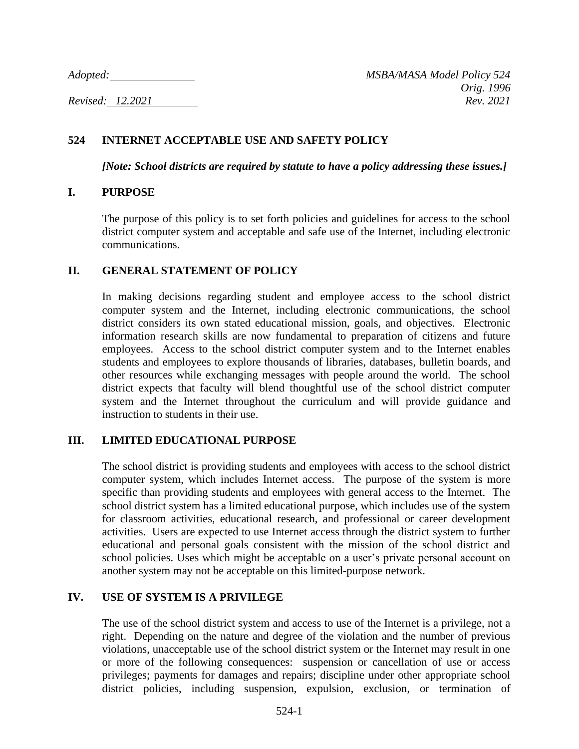## **524 INTERNET ACCEPTABLE USE AND SAFETY POLICY**

*[Note: School districts are required by statute to have a policy addressing these issues.]*

#### **I. PURPOSE**

The purpose of this policy is to set forth policies and guidelines for access to the school district computer system and acceptable and safe use of the Internet, including electronic communications.

#### **II. GENERAL STATEMENT OF POLICY**

In making decisions regarding student and employee access to the school district computer system and the Internet, including electronic communications, the school district considers its own stated educational mission, goals, and objectives. Electronic information research skills are now fundamental to preparation of citizens and future employees. Access to the school district computer system and to the Internet enables students and employees to explore thousands of libraries, databases, bulletin boards, and other resources while exchanging messages with people around the world. The school district expects that faculty will blend thoughtful use of the school district computer system and the Internet throughout the curriculum and will provide guidance and instruction to students in their use.

#### **III. LIMITED EDUCATIONAL PURPOSE**

The school district is providing students and employees with access to the school district computer system, which includes Internet access. The purpose of the system is more specific than providing students and employees with general access to the Internet. The school district system has a limited educational purpose, which includes use of the system for classroom activities, educational research, and professional or career development activities. Users are expected to use Internet access through the district system to further educational and personal goals consistent with the mission of the school district and school policies. Uses which might be acceptable on a user's private personal account on another system may not be acceptable on this limited-purpose network.

#### **IV. USE OF SYSTEM IS A PRIVILEGE**

The use of the school district system and access to use of the Internet is a privilege, not a right. Depending on the nature and degree of the violation and the number of previous violations, unacceptable use of the school district system or the Internet may result in one or more of the following consequences: suspension or cancellation of use or access privileges; payments for damages and repairs; discipline under other appropriate school district policies, including suspension, expulsion, exclusion, or termination of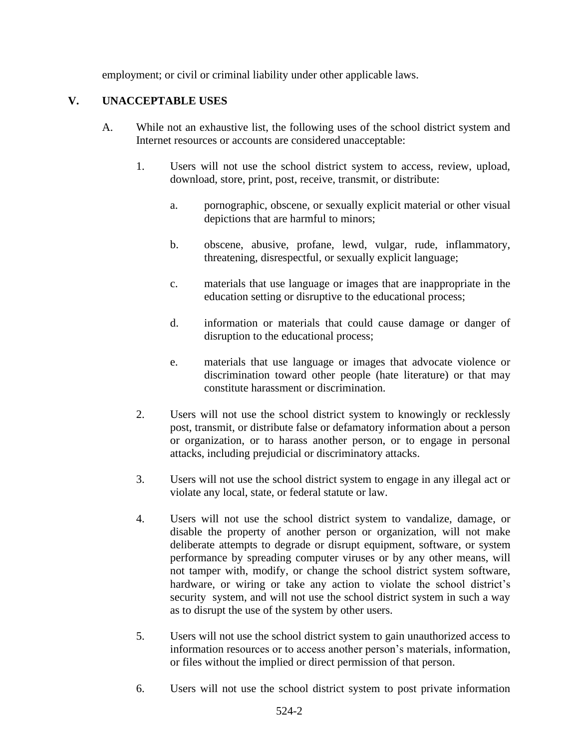employment; or civil or criminal liability under other applicable laws.

## **V. UNACCEPTABLE USES**

- A. While not an exhaustive list, the following uses of the school district system and Internet resources or accounts are considered unacceptable:
	- 1. Users will not use the school district system to access, review, upload, download, store, print, post, receive, transmit, or distribute:
		- a. pornographic, obscene, or sexually explicit material or other visual depictions that are harmful to minors;
		- b. obscene, abusive, profane, lewd, vulgar, rude, inflammatory, threatening, disrespectful, or sexually explicit language;
		- c. materials that use language or images that are inappropriate in the education setting or disruptive to the educational process;
		- d. information or materials that could cause damage or danger of disruption to the educational process;
		- e. materials that use language or images that advocate violence or discrimination toward other people (hate literature) or that may constitute harassment or discrimination.
	- 2. Users will not use the school district system to knowingly or recklessly post, transmit, or distribute false or defamatory information about a person or organization, or to harass another person, or to engage in personal attacks, including prejudicial or discriminatory attacks.
	- 3. Users will not use the school district system to engage in any illegal act or violate any local, state, or federal statute or law.
	- 4. Users will not use the school district system to vandalize, damage, or disable the property of another person or organization, will not make deliberate attempts to degrade or disrupt equipment, software, or system performance by spreading computer viruses or by any other means, will not tamper with, modify, or change the school district system software, hardware, or wiring or take any action to violate the school district's security system, and will not use the school district system in such a way as to disrupt the use of the system by other users.
	- 5. Users will not use the school district system to gain unauthorized access to information resources or to access another person's materials, information, or files without the implied or direct permission of that person.
	- 6. Users will not use the school district system to post private information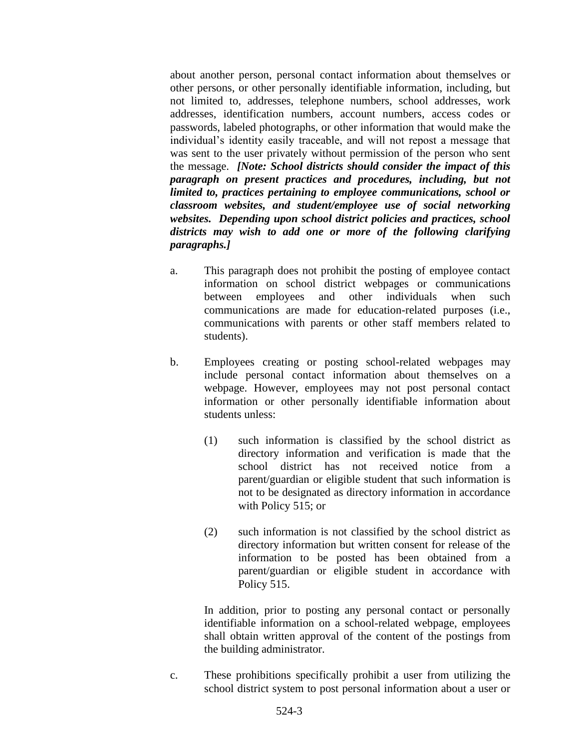about another person, personal contact information about themselves or other persons, or other personally identifiable information, including, but not limited to, addresses, telephone numbers, school addresses, work addresses, identification numbers, account numbers, access codes or passwords, labeled photographs, or other information that would make the individual's identity easily traceable, and will not repost a message that was sent to the user privately without permission of the person who sent the message. *[Note: School districts should consider the impact of this paragraph on present practices and procedures, including, but not limited to, practices pertaining to employee communications, school or classroom websites, and student/employee use of social networking websites. Depending upon school district policies and practices, school districts may wish to add one or more of the following clarifying paragraphs.]*

- a. This paragraph does not prohibit the posting of employee contact information on school district webpages or communications between employees and other individuals when such communications are made for education-related purposes (i.e., communications with parents or other staff members related to students).
- b. Employees creating or posting school-related webpages may include personal contact information about themselves on a webpage. However, employees may not post personal contact information or other personally identifiable information about students unless:
	- (1) such information is classified by the school district as directory information and verification is made that the school district has not received notice from a parent/guardian or eligible student that such information is not to be designated as directory information in accordance with Policy 515; or
	- (2) such information is not classified by the school district as directory information but written consent for release of the information to be posted has been obtained from a parent/guardian or eligible student in accordance with Policy 515.

In addition, prior to posting any personal contact or personally identifiable information on a school-related webpage, employees shall obtain written approval of the content of the postings from the building administrator.

c. These prohibitions specifically prohibit a user from utilizing the school district system to post personal information about a user or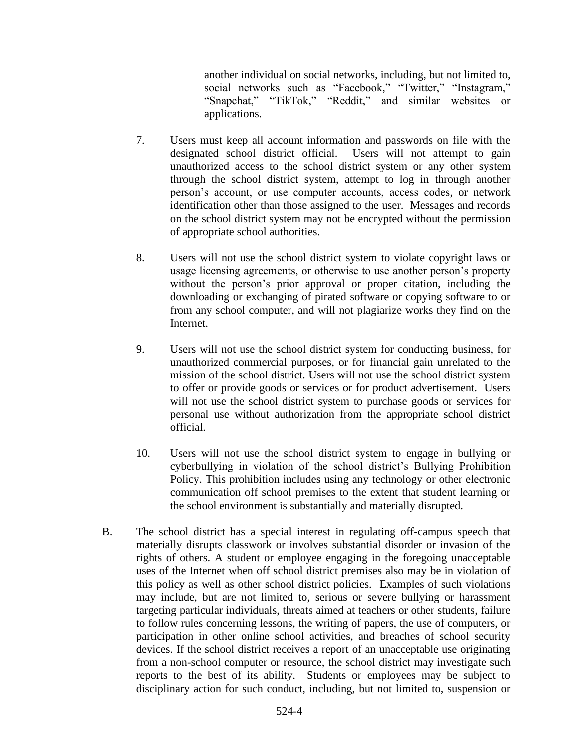another individual on social networks, including, but not limited to, social networks such as "Facebook," "Twitter," "Instagram," "Snapchat," "TikTok," "Reddit," and similar websites or applications.

- 7. Users must keep all account information and passwords on file with the designated school district official. Users will not attempt to gain unauthorized access to the school district system or any other system through the school district system, attempt to log in through another person's account, or use computer accounts, access codes, or network identification other than those assigned to the user. Messages and records on the school district system may not be encrypted without the permission of appropriate school authorities.
- 8. Users will not use the school district system to violate copyright laws or usage licensing agreements, or otherwise to use another person's property without the person's prior approval or proper citation, including the downloading or exchanging of pirated software or copying software to or from any school computer, and will not plagiarize works they find on the Internet.
- 9. Users will not use the school district system for conducting business, for unauthorized commercial purposes, or for financial gain unrelated to the mission of the school district. Users will not use the school district system to offer or provide goods or services or for product advertisement. Users will not use the school district system to purchase goods or services for personal use without authorization from the appropriate school district official.
- 10. Users will not use the school district system to engage in bullying or cyberbullying in violation of the school district's Bullying Prohibition Policy. This prohibition includes using any technology or other electronic communication off school premises to the extent that student learning or the school environment is substantially and materially disrupted.
- B. The school district has a special interest in regulating off-campus speech that materially disrupts classwork or involves substantial disorder or invasion of the rights of others. A student or employee engaging in the foregoing unacceptable uses of the Internet when off school district premises also may be in violation of this policy as well as other school district policies. Examples of such violations may include, but are not limited to, serious or severe bullying or harassment targeting particular individuals, threats aimed at teachers or other students, failure to follow rules concerning lessons, the writing of papers, the use of computers, or participation in other online school activities, and breaches of school security devices. If the school district receives a report of an unacceptable use originating from a non-school computer or resource, the school district may investigate such reports to the best of its ability. Students or employees may be subject to disciplinary action for such conduct, including, but not limited to, suspension or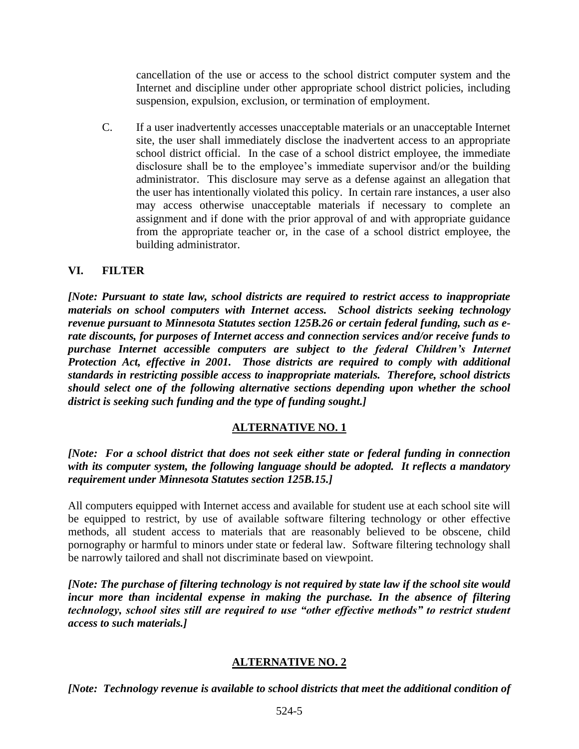cancellation of the use or access to the school district computer system and the Internet and discipline under other appropriate school district policies, including suspension, expulsion, exclusion, or termination of employment.

C. If a user inadvertently accesses unacceptable materials or an unacceptable Internet site, the user shall immediately disclose the inadvertent access to an appropriate school district official. In the case of a school district employee, the immediate disclosure shall be to the employee's immediate supervisor and/or the building administrator. This disclosure may serve as a defense against an allegation that the user has intentionally violated this policy. In certain rare instances, a user also may access otherwise unacceptable materials if necessary to complete an assignment and if done with the prior approval of and with appropriate guidance from the appropriate teacher or, in the case of a school district employee, the building administrator.

## **VI. FILTER**

*[Note: Pursuant to state law, school districts are required to restrict access to inappropriate materials on school computers with Internet access. School districts seeking technology revenue pursuant to Minnesota Statutes section 125B.26 or certain federal funding, such as erate discounts, for purposes of Internet access and connection services and/or receive funds to purchase Internet accessible computers are subject to the federal Children's Internet Protection Act, effective in 2001. Those districts are required to comply with additional standards in restricting possible access to inappropriate materials. Therefore, school districts should select one of the following alternative sections depending upon whether the school district is seeking such funding and the type of funding sought.]*

## **ALTERNATIVE NO. 1**

*[Note: For a school district that does not seek either state or federal funding in connection with its computer system, the following language should be adopted. It reflects a mandatory requirement under Minnesota Statutes section 125B.15.]*

All computers equipped with Internet access and available for student use at each school site will be equipped to restrict, by use of available software filtering technology or other effective methods, all student access to materials that are reasonably believed to be obscene, child pornography or harmful to minors under state or federal law. Software filtering technology shall be narrowly tailored and shall not discriminate based on viewpoint.

*[Note: The purchase of filtering technology is not required by state law if the school site would incur more than incidental expense in making the purchase. In the absence of filtering technology, school sites still are required to use "other effective methods" to restrict student access to such materials.]*

## **ALTERNATIVE NO. 2**

*[Note: Technology revenue is available to school districts that meet the additional condition of*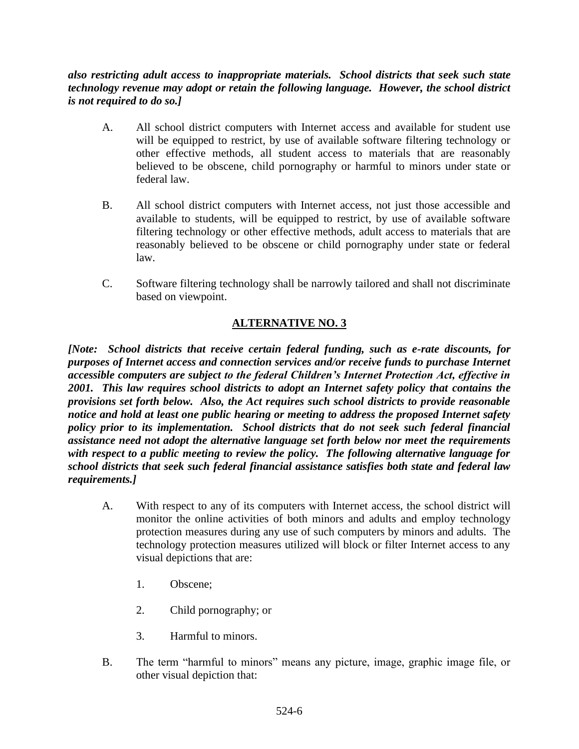## *also restricting adult access to inappropriate materials. School districts that seek such state technology revenue may adopt or retain the following language. However, the school district is not required to do so.]*

- A. All school district computers with Internet access and available for student use will be equipped to restrict, by use of available software filtering technology or other effective methods, all student access to materials that are reasonably believed to be obscene, child pornography or harmful to minors under state or federal law.
- B. All school district computers with Internet access, not just those accessible and available to students, will be equipped to restrict, by use of available software filtering technology or other effective methods, adult access to materials that are reasonably believed to be obscene or child pornography under state or federal law.
- C. Software filtering technology shall be narrowly tailored and shall not discriminate based on viewpoint.

# **ALTERNATIVE NO. 3**

*[Note: School districts that receive certain federal funding, such as e-rate discounts, for purposes of Internet access and connection services and/or receive funds to purchase Internet accessible computers are subject to the federal Children's Internet Protection Act, effective in 2001. This law requires school districts to adopt an Internet safety policy that contains the provisions set forth below. Also, the Act requires such school districts to provide reasonable notice and hold at least one public hearing or meeting to address the proposed Internet safety policy prior to its implementation. School districts that do not seek such federal financial assistance need not adopt the alternative language set forth below nor meet the requirements with respect to a public meeting to review the policy. The following alternative language for school districts that seek such federal financial assistance satisfies both state and federal law requirements.]*

- A. With respect to any of its computers with Internet access, the school district will monitor the online activities of both minors and adults and employ technology protection measures during any use of such computers by minors and adults. The technology protection measures utilized will block or filter Internet access to any visual depictions that are:
	- 1. Obscene;
	- 2. Child pornography; or
	- 3. Harmful to minors.
- B. The term "harmful to minors" means any picture, image, graphic image file, or other visual depiction that: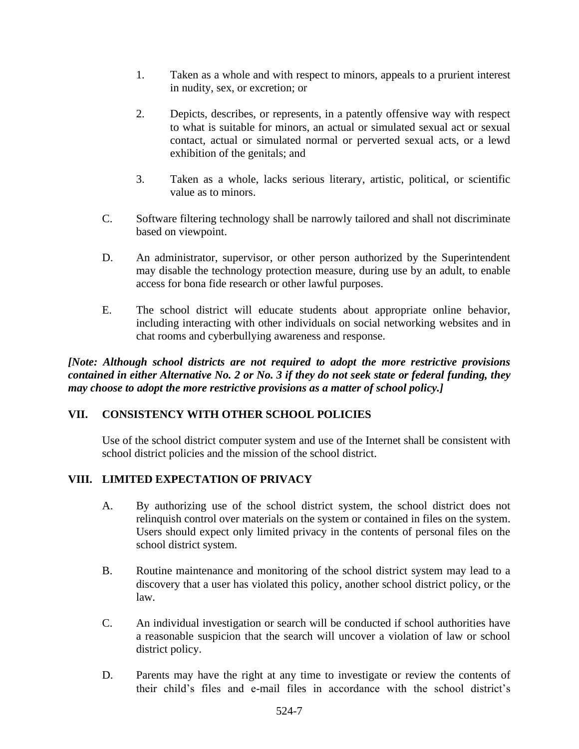- 1. Taken as a whole and with respect to minors, appeals to a prurient interest in nudity, sex, or excretion; or
- 2. Depicts, describes, or represents, in a patently offensive way with respect to what is suitable for minors, an actual or simulated sexual act or sexual contact, actual or simulated normal or perverted sexual acts, or a lewd exhibition of the genitals; and
- 3. Taken as a whole, lacks serious literary, artistic, political, or scientific value as to minors.
- C. Software filtering technology shall be narrowly tailored and shall not discriminate based on viewpoint.
- D. An administrator, supervisor, or other person authorized by the Superintendent may disable the technology protection measure, during use by an adult, to enable access for bona fide research or other lawful purposes.
- E. The school district will educate students about appropriate online behavior, including interacting with other individuals on social networking websites and in chat rooms and cyberbullying awareness and response.

*[Note: Although school districts are not required to adopt the more restrictive provisions contained in either Alternative No. 2 or No. 3 if they do not seek state or federal funding, they may choose to adopt the more restrictive provisions as a matter of school policy.]*

## **VII. CONSISTENCY WITH OTHER SCHOOL POLICIES**

Use of the school district computer system and use of the Internet shall be consistent with school district policies and the mission of the school district.

# **VIII. LIMITED EXPECTATION OF PRIVACY**

- A. By authorizing use of the school district system, the school district does not relinquish control over materials on the system or contained in files on the system. Users should expect only limited privacy in the contents of personal files on the school district system.
- B. Routine maintenance and monitoring of the school district system may lead to a discovery that a user has violated this policy, another school district policy, or the law.
- C. An individual investigation or search will be conducted if school authorities have a reasonable suspicion that the search will uncover a violation of law or school district policy.
- D. Parents may have the right at any time to investigate or review the contents of their child's files and e-mail files in accordance with the school district's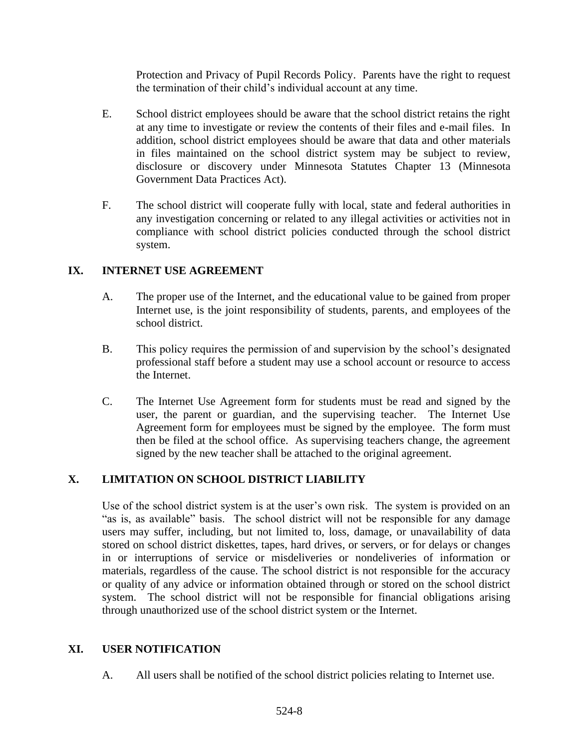Protection and Privacy of Pupil Records Policy. Parents have the right to request the termination of their child's individual account at any time.

- E. School district employees should be aware that the school district retains the right at any time to investigate or review the contents of their files and e-mail files. In addition, school district employees should be aware that data and other materials in files maintained on the school district system may be subject to review, disclosure or discovery under Minnesota Statutes Chapter 13 (Minnesota Government Data Practices Act).
- F. The school district will cooperate fully with local, state and federal authorities in any investigation concerning or related to any illegal activities or activities not in compliance with school district policies conducted through the school district system.

#### **IX. INTERNET USE AGREEMENT**

- A. The proper use of the Internet, and the educational value to be gained from proper Internet use, is the joint responsibility of students, parents, and employees of the school district.
- B. This policy requires the permission of and supervision by the school's designated professional staff before a student may use a school account or resource to access the Internet.
- C. The Internet Use Agreement form for students must be read and signed by the user, the parent or guardian, and the supervising teacher. The Internet Use Agreement form for employees must be signed by the employee. The form must then be filed at the school office. As supervising teachers change, the agreement signed by the new teacher shall be attached to the original agreement.

## **X. LIMITATION ON SCHOOL DISTRICT LIABILITY**

Use of the school district system is at the user's own risk. The system is provided on an "as is, as available" basis. The school district will not be responsible for any damage users may suffer, including, but not limited to, loss, damage, or unavailability of data stored on school district diskettes, tapes, hard drives, or servers, or for delays or changes in or interruptions of service or misdeliveries or nondeliveries of information or materials, regardless of the cause. The school district is not responsible for the accuracy or quality of any advice or information obtained through or stored on the school district system. The school district will not be responsible for financial obligations arising through unauthorized use of the school district system or the Internet.

## **XI. USER NOTIFICATION**

A. All users shall be notified of the school district policies relating to Internet use.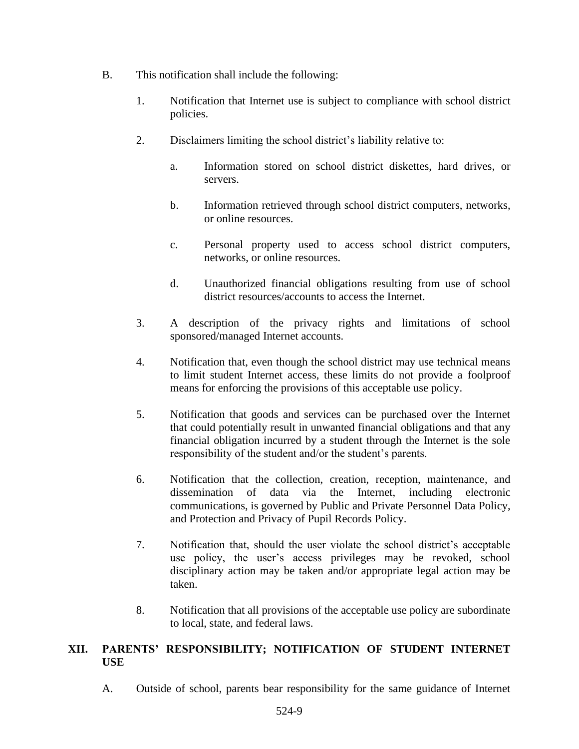- B. This notification shall include the following:
	- 1. Notification that Internet use is subject to compliance with school district policies.
	- 2. Disclaimers limiting the school district's liability relative to:
		- a. Information stored on school district diskettes, hard drives, or servers.
		- b. Information retrieved through school district computers, networks, or online resources.
		- c. Personal property used to access school district computers, networks, or online resources.
		- d. Unauthorized financial obligations resulting from use of school district resources/accounts to access the Internet.
	- 3. A description of the privacy rights and limitations of school sponsored/managed Internet accounts.
	- 4. Notification that, even though the school district may use technical means to limit student Internet access, these limits do not provide a foolproof means for enforcing the provisions of this acceptable use policy.
	- 5. Notification that goods and services can be purchased over the Internet that could potentially result in unwanted financial obligations and that any financial obligation incurred by a student through the Internet is the sole responsibility of the student and/or the student's parents.
	- 6. Notification that the collection, creation, reception, maintenance, and dissemination of data via the Internet, including electronic communications, is governed by Public and Private Personnel Data Policy, and Protection and Privacy of Pupil Records Policy.
	- 7. Notification that, should the user violate the school district's acceptable use policy, the user's access privileges may be revoked, school disciplinary action may be taken and/or appropriate legal action may be taken.
	- 8. Notification that all provisions of the acceptable use policy are subordinate to local, state, and federal laws.

## **XII. PARENTS' RESPONSIBILITY; NOTIFICATION OF STUDENT INTERNET USE**

A. Outside of school, parents bear responsibility for the same guidance of Internet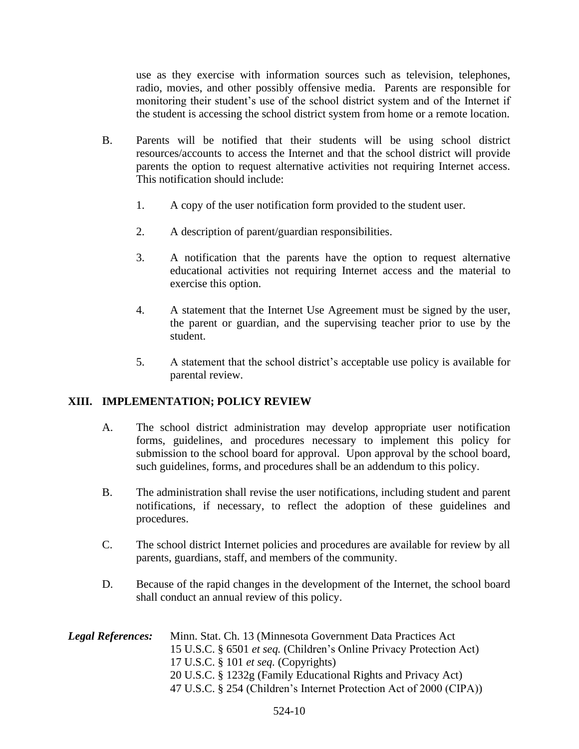use as they exercise with information sources such as television, telephones, radio, movies, and other possibly offensive media. Parents are responsible for monitoring their student's use of the school district system and of the Internet if the student is accessing the school district system from home or a remote location.

- B. Parents will be notified that their students will be using school district resources/accounts to access the Internet and that the school district will provide parents the option to request alternative activities not requiring Internet access. This notification should include:
	- 1. A copy of the user notification form provided to the student user.
	- 2. A description of parent/guardian responsibilities.
	- 3. A notification that the parents have the option to request alternative educational activities not requiring Internet access and the material to exercise this option.
	- 4. A statement that the Internet Use Agreement must be signed by the user, the parent or guardian, and the supervising teacher prior to use by the student.
	- 5. A statement that the school district's acceptable use policy is available for parental review.

#### **XIII. IMPLEMENTATION; POLICY REVIEW**

- A. The school district administration may develop appropriate user notification forms, guidelines, and procedures necessary to implement this policy for submission to the school board for approval. Upon approval by the school board, such guidelines, forms, and procedures shall be an addendum to this policy.
- B. The administration shall revise the user notifications, including student and parent notifications, if necessary, to reflect the adoption of these guidelines and procedures.
- C. The school district Internet policies and procedures are available for review by all parents, guardians, staff, and members of the community.
- D. Because of the rapid changes in the development of the Internet, the school board shall conduct an annual review of this policy.
- *Legal References:* Minn. Stat. Ch. 13 (Minnesota Government Data Practices Act 15 U.S.C. § 6501 *et seq.* (Children's Online Privacy Protection Act) 17 U.S.C. § 101 *et seq.* (Copyrights) 20 U.S.C. § 1232g (Family Educational Rights and Privacy Act) 47 U.S.C. § 254 (Children's Internet Protection Act of 2000 (CIPA))